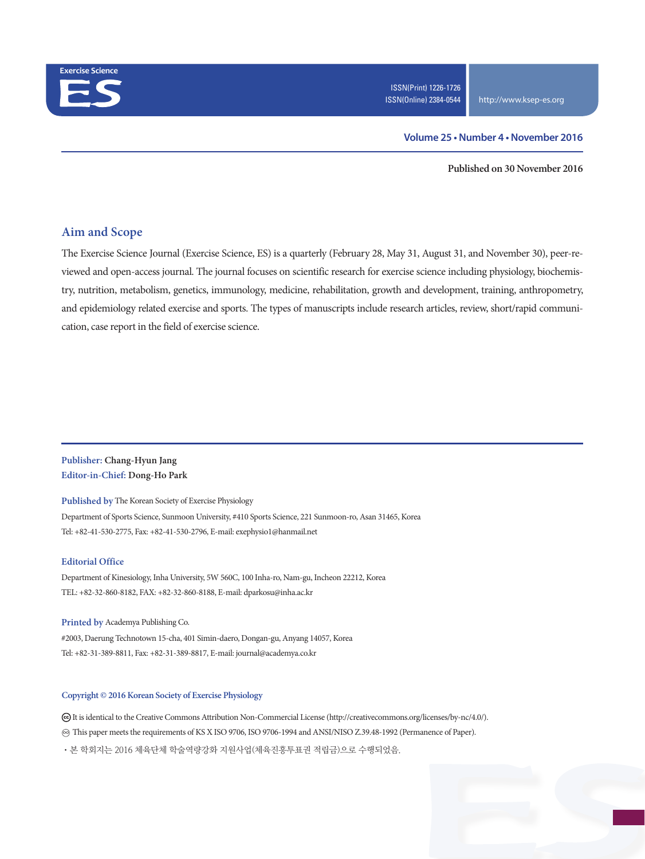

#### **Volume 25 • Number 4 • November 2016**

**Published on 30 November 2016**

### **Aim and Scope**

The Exercise Science Journal (Exercise Science, ES) is a quarterly (February 28, May 31, August 31, and November 30), peer-reviewed and open-access journal. The journal focuses on scientific research for exercise science including physiology, biochemistry, nutrition, metabolism, genetics, immunology, medicine, rehabilitation, growth and development, training, anthropometry, and epidemiology related exercise and sports. The types of manuscripts include research articles, review, short/rapid communication, case report in the field of exercise science.

### **Publisher: Chang-Hyun Jang Editor-in-Chief: Dong-Ho Park**

**Published by** The Korean Society of Exercise Physiology

Department of Sports Science, Sunmoon University, #410 Sports Science, 221 Sunmoon-ro, Asan 31465, Korea Tel: +82-41-530-2775, Fax: +82-41-530-2796, E-mail: exephysio1@hanmail.net

#### **Editorial Office**

Department of Kinesiology, Inha University, 5W 560C, 100 Inha-ro, Nam-gu, Incheon 22212, Korea TEL: +82-32-860-8182, FAX: +82-32-860-8188, E-mail: dparkosu@inha.ac.kr

**Printed by** Academya Publishing Co. #2003, Daerung Technotown 15-cha, 401 Simin-daero, Dongan-gu, Anyang 14057, Korea

Tel: +82-31-389-8811, Fax: +82-31-389-8817, E-mail: journal@academya.co.kr

#### **Copyright © 2016 Korean Society of Exercise Physiology**

 It is identical to the Creative Commons Attribution Non-Commercial License (http://creativecommons.org/licenses/by-nc/4.0/). ∞ This paper meets the requirements of KS X ISO 9706, ISO 9706-1994 and ANSI/NISO Z.39.48-1992 (Permanence of Paper).

·본 학회지는 2016 체육단체 학술역량강화 지원사업(체육진흥투표권 적립금)으로 수행되었음.

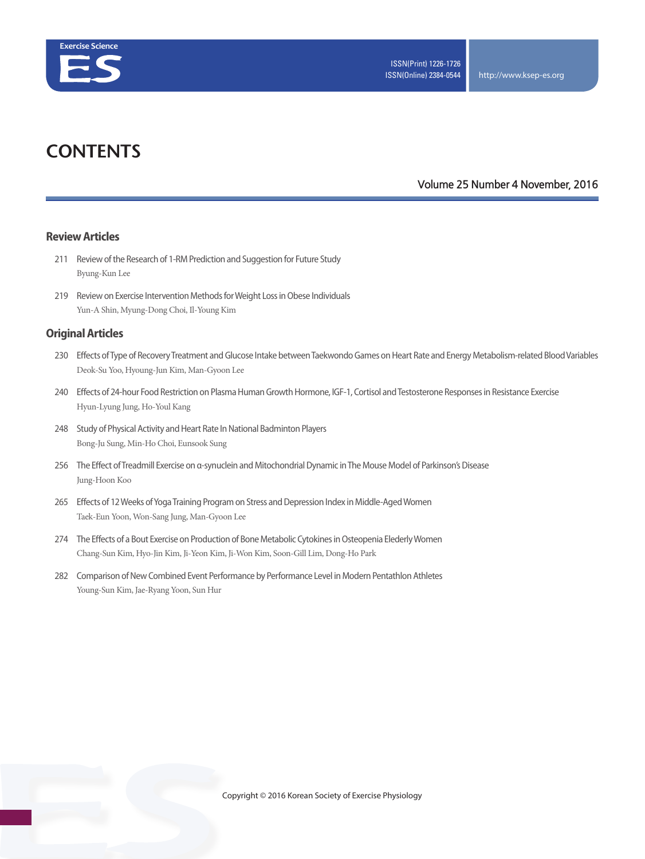

# **CONTENTS**

#### **Volume 25 Number 4 November, 2016**

#### **Review Articles**

- 211 Review of the Research of 1-RM Prediction and Suggestion for Future Study Byung-Kun Lee
- 219 Review on Exercise Intervention Methods for Weight Loss in Obese Individuals Yun-A Shin, Myung-Dong Choi, Il-Young Kim

#### **Original Articles**

- 230 Effects of Type of Recovery Treatment and Glucose Intake between Taekwondo Games on Heart Rate and Energy Metabolism-related Blood Variables Deok-Su Yoo, Hyoung-Jun Kim, Man-Gyoon Lee
- 240 Effects of 24-hour Food Restriction on Plasma Human Growth Hormone, IGF-1, Cortisol and Testosterone Responses in Resistance Exercise Hyun-Lyung Jung, Ho-Youl Kang
- 248 Study of Physical Activity and Heart Rate In National Badminton Players Bong-Ju Sung, Min-Ho Choi, Eunsook Sung
- 256 The Effect of Treadmill Exercise on α-synuclein and Mitochondrial Dynamic in The Mouse Model of Parkinson's Disease Jung-Hoon Koo
- 265 Effects of 12 Weeks of Yoga Training Program on Stress and Depression Index in Middle-Aged Women Taek-Eun Yoon, Won-Sang Jung, Man-Gyoon Lee
- 274 The Effects of a Bout Exercise on Production of Bone Metabolic Cytokines in Osteopenia Elederly Women Chang-Sun Kim, Hyo-Jin Kim, Ji-Yeon Kim, Ji-Won Kim, Soon-Gill Lim, Dong-Ho Park
- 282 Comparison of New Combined Event Performance by Performance Level in Modern Pentathlon Athletes Young-Sun Kim, Jae-Ryang Yoon, Sun Hur